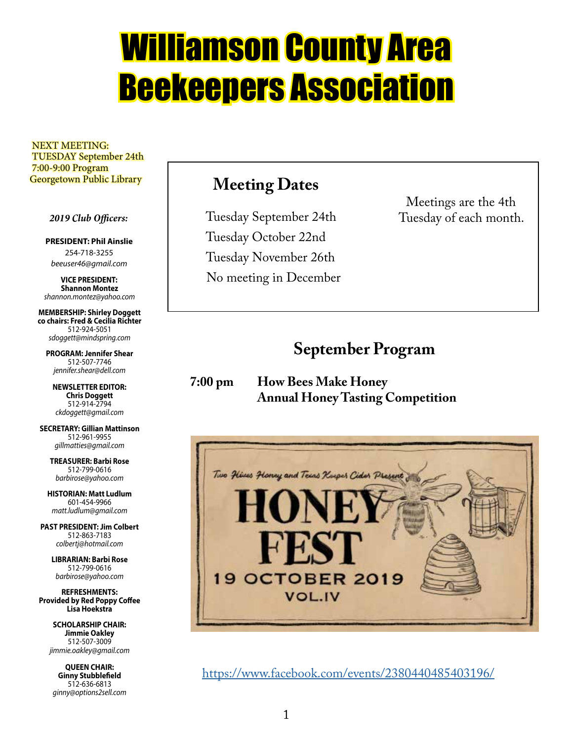# Williamson County Area Beekeepers Association

 NEXT MEETING: TUESDAY September 24th 7:00-9:00 Program Georgetown Public Library

 *2019 Club Officers:*

**PRESIDENT: Phil Ainslie** 254-718-3255 *beeuser46@gmail.com*

**VICE PRESIDENT: Shannon Montez** *shannon.montez@yahoo.com*

**MEMBERSHIP: Shirley Doggett co chairs: Fred & Cecilia Richter** 512-924-5051 *sdoggett@mindspring.com*

**PROGRAM: Jennifer Shear** 512-507-7746 *jennifer.shear@dell.com*

**NEWSLETTER EDITOR: Chris Doggett** 512-914-2794 *ckdoggett@gmail.com*

**SECRETARY: Gillian Mattinson** 512-961-9955 *gillmatties@gmail.com*

> **TREASURER: Barbi Rose** 512-799-0616 *barbirose@yahoo.com*

**HISTORIAN: Matt Ludlum** 601-454-9966 *matt.ludlum@gmail.com*

**PAST PRESIDENT: Jim Colbert** 512-863-7183 *colbertj@hotmail.com*

> **LIBRARIAN: Barbi Rose** 512-799-0616 *barbirose@yahoo.com*

**REFRESHMENTS: Provided by Red Poppy Coffee Lisa Hoekstra**

> **SCHOLARSHIP CHAIR: Jimmie Oakley** 512-507-3009 *jimmie.oakley@gmail.com*

**QUEEN CHAIR: Ginny Stubblefield** 512-636-6813 *ginny@options2sell.com*

### **Meeting Dates**

 Tuesday September 24th Tuesday October 22nd Tuesday November 26th No meeting in December

Meetings are the 4th Tuesday of each month.

### **September Program**

**7:00 pm How Bees Make Honey Annual Honey Tasting Competition**



https://www.facebook.com/events/2380440485403196/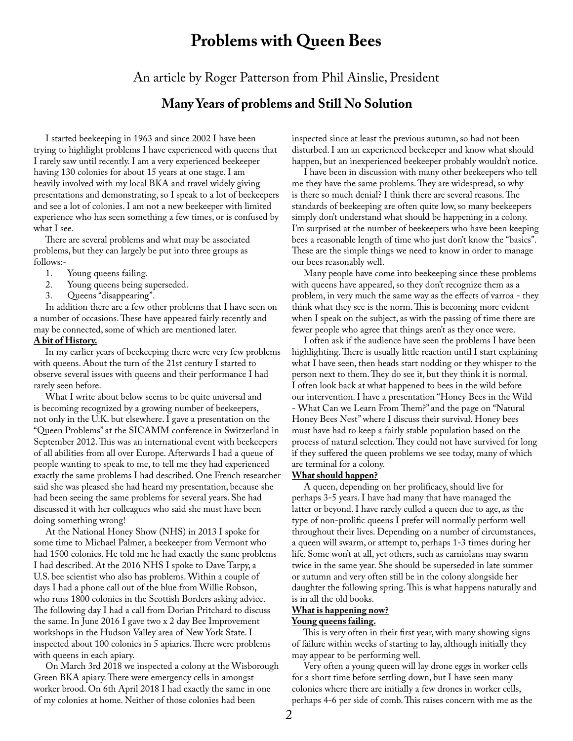### **Problems with Queen Bees**

An article by Roger Patterson from Phil Ainslie, President

#### **Many Years of problems and Still No Solution**

 I started beekeeping in 1963 and since 2002 I have been trying to highlight problems I have experienced with queens that I rarely saw until recently. I am a very experienced beekeeper having 130 colonies for about 15 years at one stage. I am heavily involved with my local BKA and travel widely giving presentations and demonstrating, so I speak to a lot of beekeepers and see a lot of colonies. I am not a new beekeeper with limited experience who has seen something a few times, or is confused by what I see.

 There are several problems and what may be associated problems, but they can largely be put into three groups as follows:-<br>1.

- 1. Young queens failing.<br>2. Young queens being s
- 2. Young queens being superseded.<br>3. Oueens "disappearing".
- Queens "disappearing".

 In addition there are a few other problems that I have seen on a number of occasions. These have appeared fairly recently and may be connected, some of which are mentioned later.

#### **A bit of History.**

 In my earlier years of beekeeping there were very few problems with queens. About the turn of the 21st century I started to observe several issues with queens and their performance I had rarely seen before.

 What I write about below seems to be quite universal and is becoming recognized by a growing number of beekeepers, not only in the U.K. but elsewhere. I gave a presentation on the "Queen Problems" at the SICAMM conference in Switzerland in September 2012. This was an international event with beekeepers of all abilities from all over Europe. Afterwards I had a queue of people wanting to speak to me, to tell me they had experienced exactly the same problems I had described. One French researcher said she was pleased she had heard my presentation, because she had been seeing the same problems for several years. She had discussed it with her colleagues who said she must have been doing something wrong!

 At the National Honey Show (NHS) in 2013 I spoke for some time to Michael Palmer, a beekeeper from Vermont who had 1500 colonies. He told me he had exactly the same problems I had described. At the 2016 NHS I spoke to Dave Tarpy, a U.S. bee scientist who also has problems. Within a couple of days I had a phone call out of the blue from Willie Robson, who runs 1800 colonies in the Scottish Borders asking advice. The following day I had a call from Dorian Pritchard to discuss the same. In June 2016 I gave two x 2 day Bee Improvement workshops in the Hudson Valley area of New York State. I inspected about 100 colonies in 5 apiaries. There were problems with queens in each apiary.

 On March 3rd 2018 we inspected a colony at the Wisborough Green BKA apiary. There were emergency cells in amongst worker brood. On 6th April 2018 I had exactly the same in one of my colonies at home. Neither of those colonies had been

inspected since at least the previous autumn, so had not been disturbed. I am an experienced beekeeper and know what should happen, but an inexperienced beekeeper probably wouldn't notice.

 I have been in discussion with many other beekeepers who tell me they have the same problems. They are widespread, so why is there so much denial? I think there are several reasons. The standards of beekeeping are often quite low, so many beekeepers simply don't understand what should be happening in a colony. I'm surprised at the number of beekeepers who have been keeping bees a reasonable length of time who just don't know the "basics". These are the simple things we need to know in order to manage our bees reasonably well.

 Many people have come into beekeeping since these problems with queens have appeared, so they don't recognize them as a problem, in very much the same way as the effects of varroa - they think what they see is the norm. This is becoming more evident when I speak on the subject, as with the passing of time there are fewer people who agree that things aren't as they once were.

 I often ask if the audience have seen the problems I have been highlighting. There is usually little reaction until I start explaining what I have seen, then heads start nodding or they whisper to the person next to them. They do see it, but they think it is normal. I often look back at what happened to bees in the wild before our intervention. I have a presentation "Honey Bees in the Wild - What Can we Learn From Them?" and the page on "Natural Honey Bees Nest" where I discuss their survival. Honey bees must have had to keep a fairly stable population based on the process of natural selection. They could not have survived for long if they suffered the queen problems we see today, many of which are terminal for a colony.

#### **What should happen?**

 A queen, depending on her prolificacy, should live for perhaps 3-5 years. I have had many that have managed the latter or beyond. I have rarely culled a queen due to age, as the type of non-prolific queens I prefer will normally perform well throughout their lives. Depending on a number of circumstances, a queen will swarm, or attempt to, perhaps 1-3 times during her life. Some won't at all, yet others, such as carniolans may swarm twice in the same year. She should be superseded in late summer or autumn and very often still be in the colony alongside her daughter the following spring. This is what happens naturally and is in all the old books.

#### **What is happening now?**

#### **Young queens failing.**

 This is very often in their first year, with many showing signs of failure within weeks of starting to lay, although initially they may appear to be performing well.

 Very often a young queen will lay drone eggs in worker cells for a short time before settling down, but I have seen many colonies where there are initially a few drones in worker cells, perhaps 4-6 per side of comb. This raises concern with me as the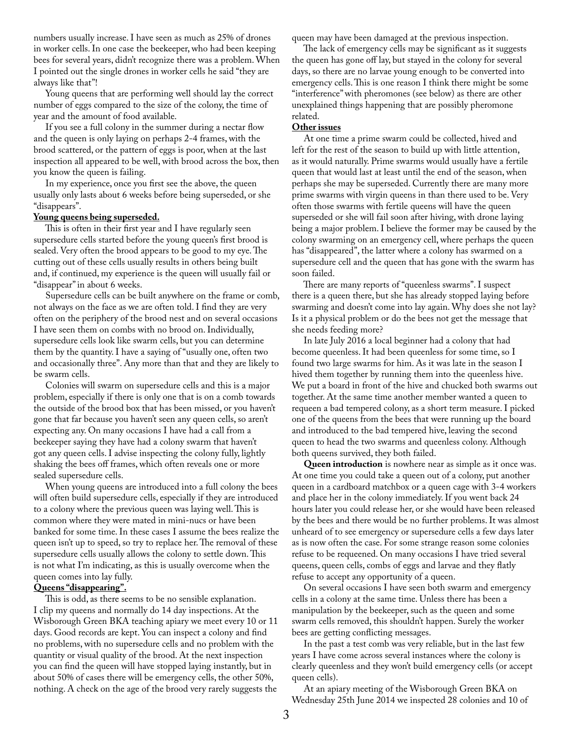numbers usually increase. I have seen as much as 25% of drones in worker cells. In one case the beekeeper, who had been keeping bees for several years, didn't recognize there was a problem. When I pointed out the single drones in worker cells he said "they are always like that"!

 Young queens that are performing well should lay the correct number of eggs compared to the size of the colony, the time of year and the amount of food available.

 If you see a full colony in the summer during a nectar flow and the queen is only laying on perhaps 2-4 frames, with the brood scattered, or the pattern of eggs is poor, when at the last inspection all appeared to be well, with brood across the box, then you know the queen is failing.

 In my experience, once you first see the above, the queen usually only lasts about 6 weeks before being superseded, or she "disappears".

#### **Young queens being superseded.**

 This is often in their first year and I have regularly seen supersedure cells started before the young queen's first brood is sealed. Very often the brood appears to be good to my eye. The cutting out of these cells usually results in others being built and, if continued, my experience is the queen will usually fail or "disappear" in about 6 weeks.

 Supersedure cells can be built anywhere on the frame or comb, not always on the face as we are often told. I find they are very often on the periphery of the brood nest and on several occasions I have seen them on combs with no brood on. Individually, supersedure cells look like swarm cells, but you can determine them by the quantity. I have a saying of "usually one, often two and occasionally three". Any more than that and they are likely to be swarm cells.

 Colonies will swarm on supersedure cells and this is a major problem, especially if there is only one that is on a comb towards the outside of the brood box that has been missed, or you haven't gone that far because you haven't seen any queen cells, so aren't expecting any. On many occasions I have had a call from a beekeeper saying they have had a colony swarm that haven't got any queen cells. I advise inspecting the colony fully, lightly shaking the bees off frames, which often reveals one or more sealed supersedure cells.

 When young queens are introduced into a full colony the bees will often build supersedure cells, especially if they are introduced to a colony where the previous queen was laying well. This is common where they were mated in mini-nucs or have been banked for some time. In these cases I assume the bees realize the queen isn't up to speed, so try to replace her. The removal of these supersedure cells usually allows the colony to settle down. This is not what I'm indicating, as this is usually overcome when the queen comes into lay fully.

#### **Queens "disappearing".**

 This is odd, as there seems to be no sensible explanation. I clip my queens and normally do 14 day inspections. At the Wisborough Green BKA teaching apiary we meet every 10 or 11 days. Good records are kept. You can inspect a colony and find no problems, with no supersedure cells and no problem with the quantity or visual quality of the brood. At the next inspection you can find the queen will have stopped laying instantly, but in about 50% of cases there will be emergency cells, the other 50%, nothing. A check on the age of the brood very rarely suggests the

queen may have been damaged at the previous inspection.

 The lack of emergency cells may be significant as it suggests the queen has gone off lay, but stayed in the colony for several days, so there are no larvae young enough to be converted into emergency cells. This is one reason I think there might be some "interference" with pheromones (see below) as there are other unexplained things happening that are possibly pheromone related.

#### **Other issues**

 At one time a prime swarm could be collected, hived and left for the rest of the season to build up with little attention, as it would naturally. Prime swarms would usually have a fertile queen that would last at least until the end of the season, when perhaps she may be superseded. Currently there are many more prime swarms with virgin queens in than there used to be. Very often those swarms with fertile queens will have the queen superseded or she will fail soon after hiving, with drone laying being a major problem. I believe the former may be caused by the colony swarming on an emergency cell, where perhaps the queen has "disappeared", the latter where a colony has swarmed on a supersedure cell and the queen that has gone with the swarm has soon failed.

 There are many reports of "queenless swarms". I suspect there is a queen there, but she has already stopped laying before swarming and doesn't come into lay again. Why does she not lay? Is it a physical problem or do the bees not get the message that she needs feeding more?

 In late July 2016 a local beginner had a colony that had become queenless. It had been queenless for some time, so I found two large swarms for him. As it was late in the season I hived them together by running them into the queenless hive. We put a board in front of the hive and chucked both swarms out together. At the same time another member wanted a queen to requeen a bad tempered colony, as a short term measure. I picked one of the queens from the bees that were running up the board and introduced to the bad tempered hive, leaving the second queen to head the two swarms and queenless colony. Although both queens survived, they both failed.

 **Queen introduction** is nowhere near as simple as it once was. At one time you could take a queen out of a colony, put another queen in a cardboard matchbox or a queen cage with 3-4 workers and place her in the colony immediately. If you went back 24 hours later you could release her, or she would have been released by the bees and there would be no further problems. It was almost unheard of to see emergency or supersedure cells a few days later as is now often the case. For some strange reason some colonies refuse to be requeened. On many occasions I have tried several queens, queen cells, combs of eggs and larvae and they flatly refuse to accept any opportunity of a queen.

 On several occasions I have seen both swarm and emergency cells in a colony at the same time. Unless there has been a manipulation by the beekeeper, such as the queen and some swarm cells removed, this shouldn't happen. Surely the worker bees are getting conflicting messages.

 In the past a test comb was very reliable, but in the last few years I have come across several instances where the colony is clearly queenless and they won't build emergency cells (or accept queen cells).

 At an apiary meeting of the Wisborough Green BKA on Wednesday 25th June 2014 we inspected 28 colonies and 10 of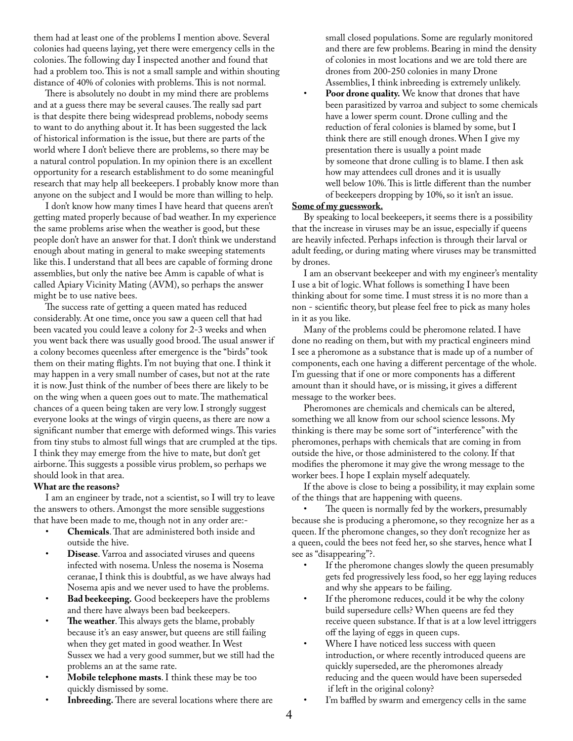them had at least one of the problems I mention above. Several colonies had queens laying, yet there were emergency cells in the colonies. The following day I inspected another and found that had a problem too. This is not a small sample and within shouting distance of 40% of colonies with problems. This is not normal.

 There is absolutely no doubt in my mind there are problems and at a guess there may be several causes. The really sad part is that despite there being widespread problems, nobody seems to want to do anything about it. It has been suggested the lack of historical information is the issue, but there are parts of the world where I don't believe there are problems, so there may be a natural control population. In my opinion there is an excellent opportunity for a research establishment to do some meaningful research that may help all beekeepers. I probably know more than anyone on the subject and I would be more than willing to help.

 I don't know how many times I have heard that queens aren't getting mated properly because of bad weather. In my experience the same problems arise when the weather is good, but these people don't have an answer for that. I don't think we understand enough about mating in general to make sweeping statements like this. I understand that all bees are capable of forming drone assemblies, but only the native bee Amm is capable of what is called Apiary Vicinity Mating (AVM), so perhaps the answer might be to use native bees.

 The success rate of getting a queen mated has reduced considerably. At one time, once you saw a queen cell that had been vacated you could leave a colony for 2-3 weeks and when you went back there was usually good brood. The usual answer if a colony becomes queenless after emergence is the "birds" took them on their mating flights. I'm not buying that one. I think it may happen in a very small number of cases, but not at the rate it is now. Just think of the number of bees there are likely to be on the wing when a queen goes out to mate. The mathematical chances of a queen being taken are very low. I strongly suggest everyone looks at the wings of virgin queens, as there are now a significant number that emerge with deformed wings. This varies from tiny stubs to almost full wings that are crumpled at the tips. I think they may emerge from the hive to mate, but don't get airborne. This suggests a possible virus problem, so perhaps we should look in that area.

#### **What are the reasons?**

 I am an engineer by trade, not a scientist, so I will try to leave the answers to others. Amongst the more sensible suggestions that have been made to me, though not in any order are:-

- **Chemicals**. That are administered both inside and outside the hive.
- **Disease**. Varroa and associated viruses and queens infected with nosema. Unless the nosema is Nosema ceranae, I think this is doubtful, as we have always had Nosema apis and we never used to have the problems.
- **Bad beekeeping.** Good beekeepers have the problems and there have always been bad beekeepers.
- The weather. This always gets the blame, probably because it's an easy answer, but queens are still failing when they get mated in good weather. In West Sussex we had a very good summer, but we still had the problems an at the same rate.
- **Mobile telephone masts**. I think these may be too quickly dismissed by some.
- **Inbreeding.** There are several locations where there are

small closed populations. Some are regularly monitored and there are few problems. Bearing in mind the density of colonies in most locations and we are told there are drones from 200-250 colonies in many Drone Assemblies, I think inbreeding is extremely unlikely. Poor drone quality. We know that drones that have been parasitized by varroa and subject to some chemicals have a lower sperm count. Drone culling and the reduction of feral colonies is blamed by some, but I think there are still enough drones. When I give my presentation there is usually a point made by someone that drone culling is to blame. I then ask how may attendees cull drones and it is usually well below 10%. This is little different than the number of beekeepers dropping by 10%, so it isn't an issue.

#### **Some of my guesswork.**

 By speaking to local beekeepers, it seems there is a possibility that the increase in viruses may be an issue, especially if queens are heavily infected. Perhaps infection is through their larval or adult feeding, or during mating where viruses may be transmitted by drones.

 I am an observant beekeeper and with my engineer's mentality I use a bit of logic. What follows is something I have been thinking about for some time. I must stress it is no more than a non - scientific theory, but please feel free to pick as many holes in it as you like.

 Many of the problems could be pheromone related. I have done no reading on them, but with my practical engineers mind I see a pheromone as a substance that is made up of a number of components, each one having a different percentage of the whole. I'm guessing that if one or more components has a different amount than it should have, or is missing, it gives a different message to the worker bees.

 Pheromones are chemicals and chemicals can be altered, something we all know from our school science lessons. My thinking is there may be some sort of "interference" with the pheromones, perhaps with chemicals that are coming in from outside the hive, or those administered to the colony. If that modifies the pheromone it may give the wrong message to the worker bees. I hope I explain myself adequately.

 If the above is close to being a possibility, it may explain some of the things that are happening with queens.

The queen is normally fed by the workers, presumably because she is producing a pheromone, so they recognize her as a queen. If the pheromone changes, so they don't recognize her as a queen, could the bees not feed her, so she starves, hence what I see as "disappearing"?.

- If the pheromone changes slowly the queen presumably gets fed progressively less food, so her egg laying reduces and why she appears to be failing.
- If the pheromone reduces, could it be why the colony build supersedure cells? When queens are fed they receive queen substance. If that is at a low level ittriggers off the laying of eggs in queen cups.
- Where I have noticed less success with queen introduction, or where recently introduced queens are quickly superseded, are the pheromones already reducing and the queen would have been superseded if left in the original colony?
- I'm baffled by swarm and emergency cells in the same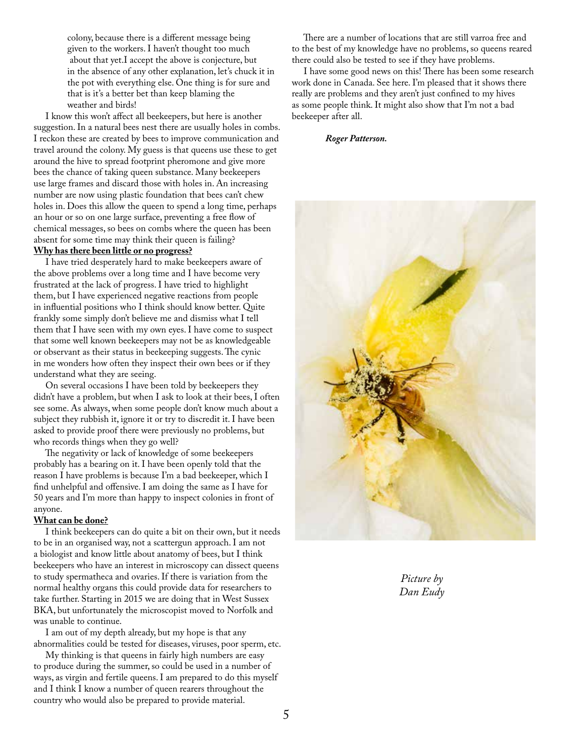colony, because there is a different message being given to the workers. I haven't thought too much about that yet.I accept the above is conjecture, but in the absence of any other explanation, let's chuck it in the pot with everything else. One thing is for sure and that is it's a better bet than keep blaming the weather and birds!

 I know this won't affect all beekeepers, but here is another suggestion. In a natural bees nest there are usually holes in combs. I reckon these are created by bees to improve communication and travel around the colony. My guess is that queens use these to get around the hive to spread footprint pheromone and give more bees the chance of taking queen substance. Many beekeepers use large frames and discard those with holes in. An increasing number are now using plastic foundation that bees can't chew holes in. Does this allow the queen to spend a long time, perhaps an hour or so on one large surface, preventing a free flow of chemical messages, so bees on combs where the queen has been absent for some time may think their queen is failing? **Why has there been little or no progress?**

 I have tried desperately hard to make beekeepers aware of the above problems over a long time and I have become very frustrated at the lack of progress. I have tried to highlight them, but I have experienced negative reactions from people in influential positions who I think should know better. Quite frankly some simply don't believe me and dismiss what I tell them that I have seen with my own eyes. I have come to suspect that some well known beekeepers may not be as knowledgeable or observant as their status in beekeeping suggests. The cynic in me wonders how often they inspect their own bees or if they understand what they are seeing.

 On several occasions I have been told by beekeepers they didn't have a problem, but when I ask to look at their bees, I often see some. As always, when some people don't know much about a subject they rubbish it, ignore it or try to discredit it. I have been asked to provide proof there were previously no problems, but who records things when they go well?

 The negativity or lack of knowledge of some beekeepers probably has a bearing on it. I have been openly told that the reason I have problems is because I'm a bad beekeeper, which I find unhelpful and offensive. I am doing the same as I have for 50 years and I'm more than happy to inspect colonies in front of anyone.

#### **What can be done?**

 I think beekeepers can do quite a bit on their own, but it needs to be in an organised way, not a scattergun approach. I am not a biologist and know little about anatomy of bees, but I think beekeepers who have an interest in microscopy can dissect queens to study spermatheca and ovaries. If there is variation from the normal healthy organs this could provide data for researchers to take further. Starting in 2015 we are doing that in West Sussex BKA, but unfortunately the microscopist moved to Norfolk and was unable to continue.

 I am out of my depth already, but my hope is that any abnormalities could be tested for diseases, viruses, poor sperm, etc.

 My thinking is that queens in fairly high numbers are easy to produce during the summer, so could be used in a number of ways, as virgin and fertile queens. I am prepared to do this myself and I think I know a number of queen rearers throughout the country who would also be prepared to provide material.

 There are a number of locations that are still varroa free and to the best of my knowledge have no problems, so queens reared there could also be tested to see if they have problems.

 I have some good news on this! There has been some research work done in Canada. See here. I'm pleased that it shows there really are problems and they aren't just confined to my hives as some people think. It might also show that I'm not a bad beekeeper after all.

#### *Roger Patterson.*



*Picture by Dan Eudy*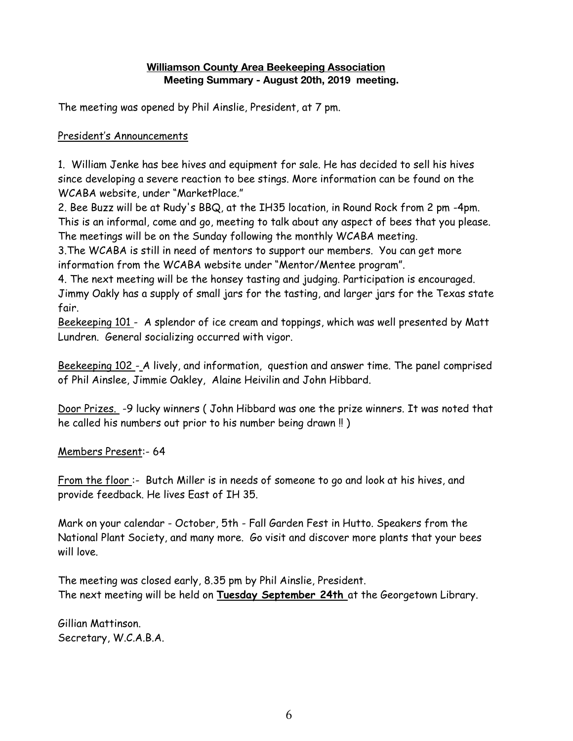#### **Williamson County Area Beekeeping Association Meeting Summary - August 20th, 2019 meeting.**

The meeting was opened by Phil Ainslie, President, at 7 pm.

#### President's Announcements

1. William Jenke has bee hives and equipment for sale. He has decided to sell his hives since developing a severe reaction to bee stings. More information can be found on the WCABA website, under "MarketPlace."

2. Bee Buzz will be at Rudy's BBQ, at the IH35 location, in Round Rock from 2 pm -4pm. This is an informal, come and go, meeting to talk about any aspect of bees that you please. The meetings will be on the Sunday following the monthly WCABA meeting.

3.The WCABA is still in need of mentors to support our members. You can get more information from the WCABA website under "Mentor/Mentee program".

4. The next meeting will be the honsey tasting and judging. Participation is encouraged. Jimmy Oakly has a supply of small jars for the tasting, and larger jars for the Texas state fair.

Beekeeping 101 - A splendor of ice cream and toppings, which was well presented by Matt Lundren. General socializing occurred with vigor.

Beekeeping 102 - A lively, and information, question and answer time. The panel comprised of Phil Ainslee, Jimmie Oakley, Alaine Heivilin and John Hibbard.

Door Prizes. -9 lucky winners ( John Hibbard was one the prize winners. It was noted that he called his numbers out prior to his number being drawn !! )

Members Present:- 64

From the floor :- Butch Miller is in needs of someone to go and look at his hives, and provide feedback. He lives East of IH 35.

Mark on your calendar - October, 5th - Fall Garden Fest in Hutto. Speakers from the National Plant Society, and many more. Go visit and discover more plants that your bees will love.

The meeting was closed early, 8.35 pm by Phil Ainslie, President. The next meeting will be held on **Tuesday September 24th** at the Georgetown Library.

Gillian Mattinson. Secretary, W.C.A.B.A.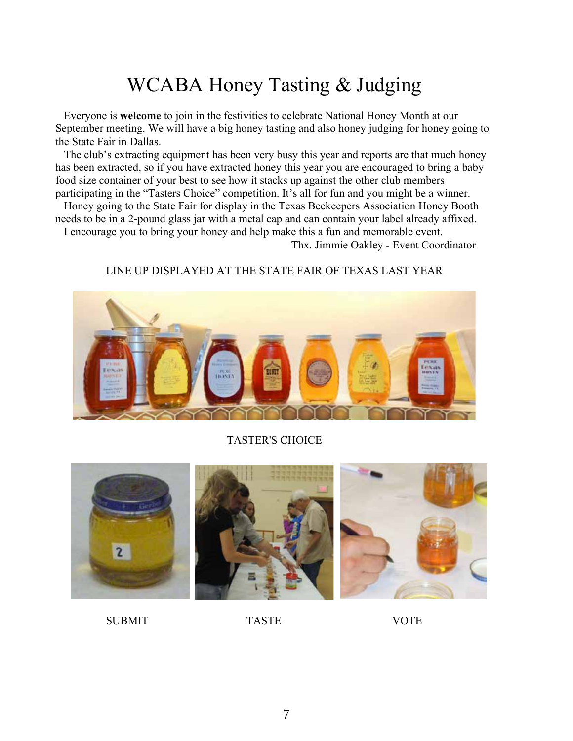### WCABA Honey Tasting & Judging

 Everyone is **welcome** to join in the festivities to celebrate National Honey Month at our September meeting. We will have a big honey tasting and also honey judging for honey going to the State Fair in Dallas.

 The club's extracting equipment has been very busy this year and reports are that much honey has been extracted, so if you have extracted honey this year you are encouraged to bring a baby food size container of your best to see how it stacks up against the other club members participating in the "Tasters Choice" competition. It's all for fun and you might be a winner.

 Honey going to the State Fair for display in the Texas Beekeepers Association Honey Booth needs to be in a 2-pound glass jar with a metal cap and can contain your label already affixed.

I encourage you to bring your honey and help make this a fun and memorable event.

Thx. Jimmie Oakley - Event Coordinator

#### LINE UP DISPLAYED AT THE STATE FAIR OF TEXAS LAST YEAR



#### TASTER'S CHOICE



SUBMIT TASTE VOTE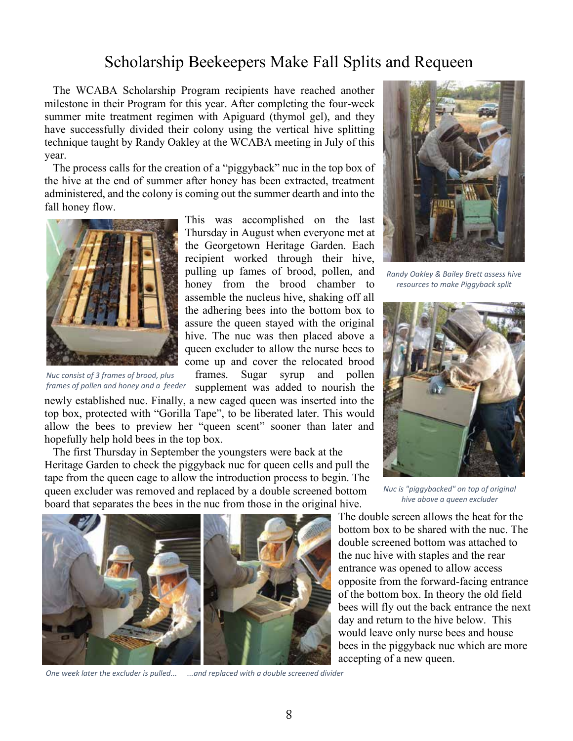### Scholarship Beekeepers Make Fall Splits and Requeen

 The WCABA Scholarship Program recipients have reached another milestone in their Program for this year. After completing the four-week summer mite treatment regimen with Apiguard (thymol gel), and they have successfully divided their colony using the vertical hive splitting technique taught by Randy Oakley at the WCABA meeting in July of this year.

 The process calls for the creation of a "piggyback" nuc in the top box of the hive at the end of summer after honey has been extracted, treatment administered, and the colony is coming out the summer dearth and into the fall honey flow.



*Nuc consist of 3 frames of brood, plus frames of pollen and honey and a feeder*

This was accomplished on the last Thursday in August when everyone met at the Georgetown Heritage Garden. Each recipient worked through their hive, pulling up fames of brood, pollen, and honey from the brood chamber to assemble the nucleus hive, shaking off all the adhering bees into the bottom box to assure the queen stayed with the original hive. The nuc was then placed above a queen excluder to allow the nurse bees to come up and cover the relocated brood frames. Sugar syrup and pollen supplement was added to nourish the

newly established nuc. Finally, a new caged queen was inserted into the top box, protected with "Gorilla Tape", to be liberated later. This would allow the bees to preview her "queen scent" sooner than later and hopefully help hold bees in the top box.

 The first Thursday in September the youngsters were back at the Heritage Garden to check the piggyback nuc for queen cells and pull the tape from the queen cage to allow the introduction process to begin. The queen excluder was removed and replaced by a double screened bottom board that separates the bees in the nuc from those in the original hive.



*One week later the excluder is pulled... ...and replaced with a double screened divider*



*Randy Oakley & Bailey Brett assess hive resources to make Piggyback split*



*Nuc is "piggybacked" on top of original hive above a queen excluder*

The double screen allows the heat for the bottom box to be shared with the nuc. The double screened bottom was attached to the nuc hive with staples and the rear entrance was opened to allow access opposite from the forward-facing entrance of the bottom box. In theory the old field bees will fly out the back entrance the next day and return to the hive below. This would leave only nurse bees and house bees in the piggyback nuc which are more accepting of a new queen.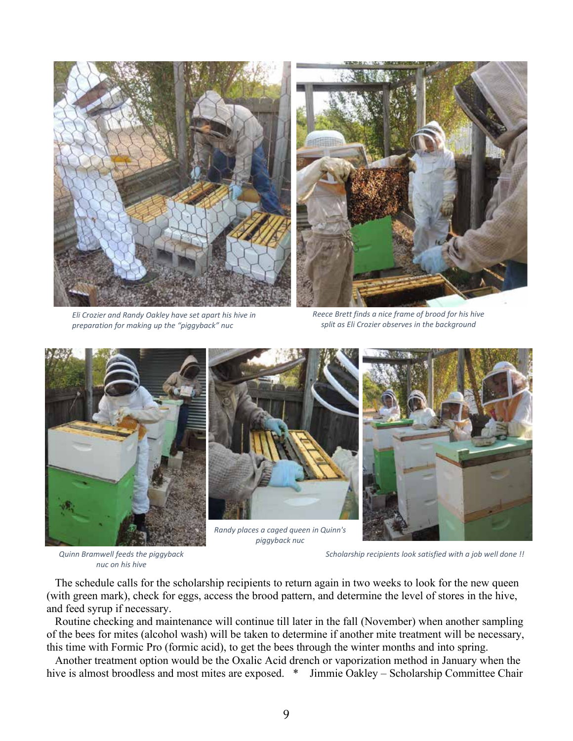

*Eli Crozier and Randy Oakley have set apart his hive in preparation for making up the "piggyback" nuc*

*Reece Brett finds a nice frame of brood for his hive split as Eli Crozier observes in the background*



*Quinn Bramwell feeds the piggyback nuc on his hive*



*Randy places a caged queen in Quinn's piggyback nuc*



*Scholarship recipients look satisfied with a job well done !!*

 The schedule calls for the scholarship recipients to return again in two weeks to look for the new queen (with green mark), check for eggs, access the brood pattern, and determine the level of stores in the hive, and feed syrup if necessary.

 Routine checking and maintenance will continue till later in the fall (November) when another sampling of the bees for mites (alcohol wash) will be taken to determine if another mite treatment will be necessary, this time with Formic Pro (formic acid), to get the bees through the winter months and into spring.

 Another treatment option would be the Oxalic Acid drench or vaporization method in January when the hive is almost broodless and most mites are exposed. \* Jimmie Oakley – Scholarship Committee Chair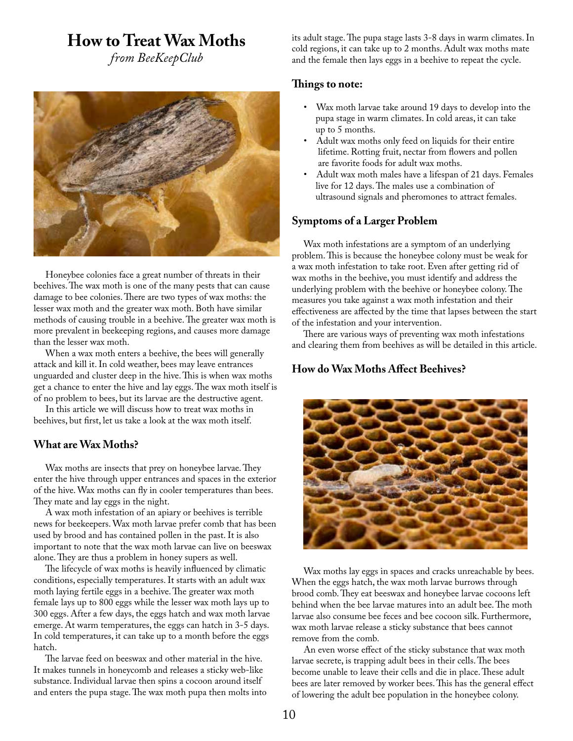### **How to Treat Wax Moths**

*from BeeKeepClub*



 Honeybee colonies face a great number of threats in their beehives. The wax moth is one of the many pests that can cause damage to bee colonies. There are two types of wax moths: the lesser wax moth and the greater wax moth. Both have similar methods of causing trouble in a beehive. The greater wax moth is more prevalent in beekeeping regions, and causes more damage than the lesser wax moth.

 When a wax moth enters a beehive, the bees will generally attack and kill it. In cold weather, bees may leave entrances unguarded and cluster deep in the hive. This is when wax moths get a chance to enter the hive and lay eggs. The wax moth itself is of no problem to bees, but its larvae are the destructive agent.

 In this article we will discuss how to treat wax moths in beehives, but first, let us take a look at the wax moth itself.

#### **What are Wax Moths?**

 Wax moths are insects that prey on honeybee larvae. They enter the hive through upper entrances and spaces in the exterior of the hive. Wax moths can fly in cooler temperatures than bees. They mate and lay eggs in the night.

 A wax moth infestation of an apiary or beehives is terrible news for beekeepers. Wax moth larvae prefer comb that has been used by brood and has contained pollen in the past. It is also important to note that the wax moth larvae can live on beeswax alone. They are thus a problem in honey supers as well.

 The lifecycle of wax moths is heavily influenced by climatic conditions, especially temperatures. It starts with an adult wax moth laying fertile eggs in a beehive. The greater wax moth female lays up to 800 eggs while the lesser wax moth lays up to 300 eggs. After a few days, the eggs hatch and wax moth larvae emerge. At warm temperatures, the eggs can hatch in 3-5 days. In cold temperatures, it can take up to a month before the eggs hatch.

 The larvae feed on beeswax and other material in the hive. It makes tunnels in honeycomb and releases a sticky web-like substance. Individual larvae then spins a cocoon around itself and enters the pupa stage. The wax moth pupa then molts into its adult stage. The pupa stage lasts 3-8 days in warm climates. In cold regions, it can take up to 2 months. Adult wax moths mate and the female then lays eggs in a beehive to repeat the cycle.

#### **Things to note:**

- Wax moth larvae take around 19 days to develop into the pupa stage in warm climates. In cold areas, it can take up to 5 months.
- Adult wax moths only feed on liquids for their entire lifetime. Rotting fruit, nectar from flowers and pollen are favorite foods for adult wax moths.
- Adult wax moth males have a lifespan of 21 days. Females live for 12 days. The males use a combination of ultrasound signals and pheromones to attract females.

#### **Symptoms of a Larger Problem**

 Wax moth infestations are a symptom of an underlying problem. This is because the honeybee colony must be weak for a wax moth infestation to take root. Even after getting rid of wax moths in the beehive, you must identify and address the underlying problem with the beehive or honeybee colony. The measures you take against a wax moth infestation and their effectiveness are affected by the time that lapses between the start of the infestation and your intervention.

 There are various ways of preventing wax moth infestations and clearing them from beehives as will be detailed in this article.

#### **How do Wax Moths Affect Beehives?**



 Wax moths lay eggs in spaces and cracks unreachable by bees. When the eggs hatch, the wax moth larvae burrows through brood comb. They eat beeswax and honeybee larvae cocoons left behind when the bee larvae matures into an adult bee. The moth larvae also consume bee feces and bee cocoon silk. Furthermore, wax moth larvae release a sticky substance that bees cannot remove from the comb.

 An even worse effect of the sticky substance that wax moth larvae secrete, is trapping adult bees in their cells. The bees become unable to leave their cells and die in place. These adult bees are later removed by worker bees. This has the general effect of lowering the adult bee population in the honeybee colony.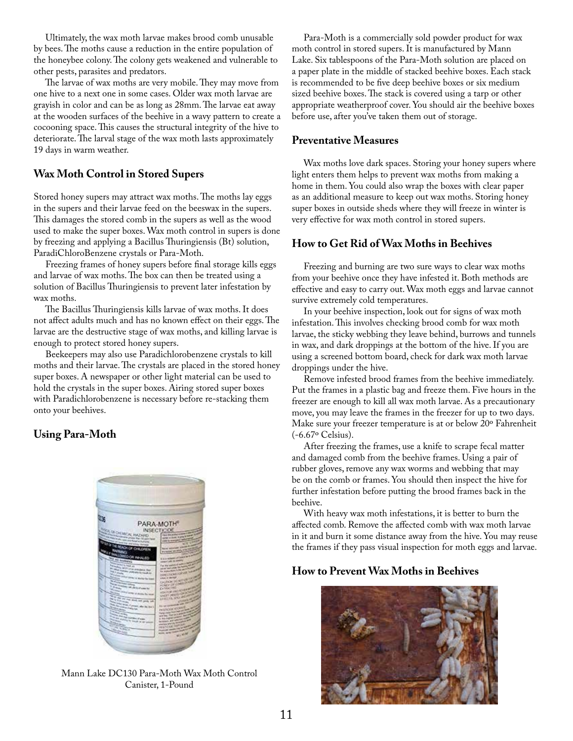Ultimately, the wax moth larvae makes brood comb unusable by bees. The moths cause a reduction in the entire population of the honeybee colony. The colony gets weakened and vulnerable to other pests, parasites and predators.

 The larvae of wax moths are very mobile. They may move from one hive to a next one in some cases. Older wax moth larvae are grayish in color and can be as long as 28mm. The larvae eat away at the wooden surfaces of the beehive in a wavy pattern to create a cocooning space. This causes the structural integrity of the hive to deteriorate. The larval stage of the wax moth lasts approximately 19 days in warm weather.

#### **Wax Moth Control in Stored Supers**

Stored honey supers may attract wax moths. The moths lay eggs in the supers and their larvae feed on the beeswax in the supers. This damages the stored comb in the supers as well as the wood used to make the super boxes. Wax moth control in supers is done by freezing and applying a Bacillus Thuringiensis (Bt) solution, ParadiChloroBenzene crystals or Para-Moth.

 Freezing frames of honey supers before final storage kills eggs and larvae of wax moths. The box can then be treated using a solution of Bacillus Thuringiensis to prevent later infestation by wax moths.

 The Bacillus Thuringiensis kills larvae of wax moths. It does not affect adults much and has no known effect on their eggs. The larvae are the destructive stage of wax moths, and killing larvae is enough to protect stored honey supers.

 Beekeepers may also use Paradichlorobenzene crystals to kill moths and their larvae. The crystals are placed in the stored honey super boxes. A newspaper or other light material can be used to hold the crystals in the super boxes. Airing stored super boxes with Paradichlorobenzene is necessary before re-stacking them onto your beehives.

#### **Using Para-Moth**



Mann Lake DC130 Para-Moth Wax Moth Control Canister, 1-Pound

 Para-Moth is a commercially sold powder product for wax moth control in stored supers. It is manufactured by Mann Lake. Six tablespoons of the Para-Moth solution are placed on a paper plate in the middle of stacked beehive boxes. Each stack is recommended to be five deep beehive boxes or six medium sized beehive boxes. The stack is covered using a tarp or other appropriate weatherproof cover. You should air the beehive boxes before use, after you've taken them out of storage.

#### **Preventative Measures**

 Wax moths love dark spaces. Storing your honey supers where light enters them helps to prevent wax moths from making a home in them. You could also wrap the boxes with clear paper as an additional measure to keep out wax moths. Storing honey super boxes in outside sheds where they will freeze in winter is very effective for wax moth control in stored supers.

#### **How to Get Rid of Wax Moths in Beehives**

 Freezing and burning are two sure ways to clear wax moths from your beehive once they have infested it. Both methods are effective and easy to carry out. Wax moth eggs and larvae cannot survive extremely cold temperatures.

 In your beehive inspection, look out for signs of wax moth infestation. This involves checking brood comb for wax moth larvae, the sticky webbing they leave behind, burrows and tunnels in wax, and dark droppings at the bottom of the hive. If you are using a screened bottom board, check for dark wax moth larvae droppings under the hive.

 Remove infested brood frames from the beehive immediately. Put the frames in a plastic bag and freeze them. Five hours in the freezer are enough to kill all wax moth larvae. As a precautionary move, you may leave the frames in the freezer for up to two days. Make sure your freezer temperature is at or below 20º Fahrenheit (-6.67º Celsius).

 After freezing the frames, use a knife to scrape fecal matter and damaged comb from the beehive frames. Using a pair of rubber gloves, remove any wax worms and webbing that may be on the comb or frames. You should then inspect the hive for further infestation before putting the brood frames back in the beehive.

 With heavy wax moth infestations, it is better to burn the affected comb. Remove the affected comb with wax moth larvae in it and burn it some distance away from the hive. You may reuse the frames if they pass visual inspection for moth eggs and larvae.

#### **How to Prevent Wax Moths in Beehives**

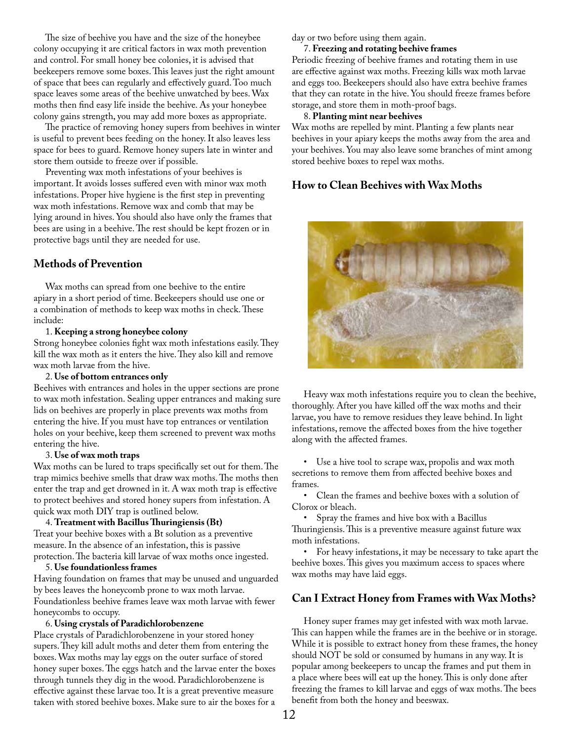The size of beehive you have and the size of the honeybee colony occupying it are critical factors in wax moth prevention and control. For small honey bee colonies, it is advised that beekeepers remove some boxes. This leaves just the right amount of space that bees can regularly and effectively guard. Too much space leaves some areas of the beehive unwatched by bees. Wax moths then find easy life inside the beehive. As your honeybee colony gains strength, you may add more boxes as appropriate.

 The practice of removing honey supers from beehives in winter is useful to prevent bees feeding on the honey. It also leaves less space for bees to guard. Remove honey supers late in winter and store them outside to freeze over if possible.

 Preventing wax moth infestations of your beehives is important. It avoids losses suffered even with minor wax moth infestations. Proper hive hygiene is the first step in preventing wax moth infestations. Remove wax and comb that may be lying around in hives. You should also have only the frames that bees are using in a beehive. The rest should be kept frozen or in protective bags until they are needed for use.

#### **Methods of Prevention**

 Wax moths can spread from one beehive to the entire apiary in a short period of time. Beekeepers should use one or a combination of methods to keep wax moths in check. These include:

#### 1. **Keeping a strong honeybee colony**

Strong honeybee colonies fight wax moth infestations easily. They kill the wax moth as it enters the hive. They also kill and remove wax moth larvae from the hive.

#### 2. **Use of bottom entrances only**

Beehives with entrances and holes in the upper sections are prone to wax moth infestation. Sealing upper entrances and making sure lids on beehives are properly in place prevents wax moths from entering the hive. If you must have top entrances or ventilation holes on your beehive, keep them screened to prevent wax moths entering the hive.

#### 3. **Use of wax moth traps**

Wax moths can be lured to traps specifically set out for them. The trap mimics beehive smells that draw wax moths. The moths then enter the trap and get drowned in it. A wax moth trap is effective to protect beehives and stored honey supers from infestation. A quick wax moth DIY trap is outlined below.

#### 4. **Treatment with Bacillus Thuringiensis (Bt)**

Treat your beehive boxes with a Bt solution as a preventive measure. In the absence of an infestation, this is passive protection. The bacteria kill larvae of wax moths once ingested.

#### 5. **Use foundationless frames**

Having foundation on frames that may be unused and unguarded by bees leaves the honeycomb prone to wax moth larvae. Foundationless beehive frames leave wax moth larvae with fewer honeycombs to occupy.

#### 6. **Using crystals of Paradichlorobenzene**

Place crystals of Paradichlorobenzene in your stored honey supers. They kill adult moths and deter them from entering the boxes. Wax moths may lay eggs on the outer surface of stored honey super boxes. The eggs hatch and the larvae enter the boxes through tunnels they dig in the wood. Paradichlorobenzene is effective against these larvae too. It is a great preventive measure taken with stored beehive boxes. Make sure to air the boxes for a

day or two before using them again.

#### 7. **Freezing and rotating beehive frames**

Periodic freezing of beehive frames and rotating them in use are effective against wax moths. Freezing kills wax moth larvae and eggs too. Beekeepers should also have extra beehive frames that they can rotate in the hive. You should freeze frames before storage, and store them in moth-proof bags.

#### 8. **Planting mint near beehives**

Wax moths are repelled by mint. Planting a few plants near beehives in your apiary keeps the moths away from the area and your beehives. You may also leave some branches of mint among stored beehive boxes to repel wax moths.

#### **How to Clean Beehives with Wax Moths**



 Heavy wax moth infestations require you to clean the beehive, thoroughly. After you have killed off the wax moths and their larvae, you have to remove residues they leave behind. In light infestations, remove the affected boxes from the hive together along with the affected frames.

 • Use a hive tool to scrape wax, propolis and wax moth secretions to remove them from affected beehive boxes and frames.

 • Clean the frames and beehive boxes with a solution of Clorox or bleach.

 • Spray the frames and hive box with a Bacillus Thuringiensis. This is a preventive measure against future wax moth infestations.

 • For heavy infestations, it may be necessary to take apart the beehive boxes. This gives you maximum access to spaces where wax moths may have laid eggs.

#### **Can I Extract Honey from Frames with Wax Moths?**

 Honey super frames may get infested with wax moth larvae. This can happen while the frames are in the beehive or in storage. While it is possible to extract honey from these frames, the honey should NOT be sold or consumed by humans in any way. It is popular among beekeepers to uncap the frames and put them in a place where bees will eat up the honey. This is only done after freezing the frames to kill larvae and eggs of wax moths. The bees benefit from both the honey and beeswax.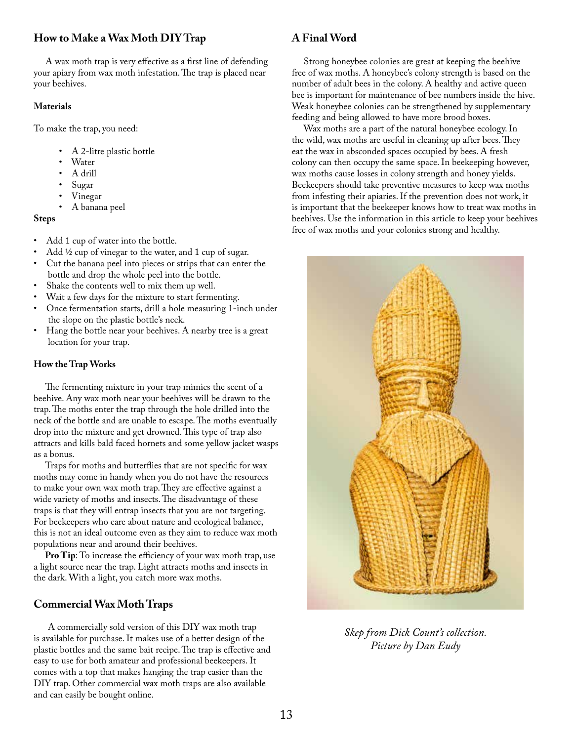#### **How to Make a Wax Moth DIY Trap**

 A wax moth trap is very effective as a first line of defending your apiary from wax moth infestation. The trap is placed near your beehives.

#### **Materials**

To make the trap, you need:

- A 2-litre plastic bottle
- Water
- A drill
- Sugar
- Vinegar
- A banana peel

#### **Steps**

- Add 1 cup of water into the bottle.
- Add ½ cup of vinegar to the water, and 1 cup of sugar.
- Cut the banana peel into pieces or strips that can enter the bottle and drop the whole peel into the bottle.
- Shake the contents well to mix them up well.
- Wait a few days for the mixture to start fermenting.
- Once fermentation starts, drill a hole measuring 1-inch under the slope on the plastic bottle's neck.
- Hang the bottle near your beehives. A nearby tree is a great location for your trap.

#### **How the Trap Works**

 The fermenting mixture in your trap mimics the scent of a beehive. Any wax moth near your beehives will be drawn to the trap. The moths enter the trap through the hole drilled into the neck of the bottle and are unable to escape. The moths eventually drop into the mixture and get drowned. This type of trap also attracts and kills bald faced hornets and some yellow jacket wasps as a bonus.

 Traps for moths and butterflies that are not specific for wax moths may come in handy when you do not have the resources to make your own wax moth trap. They are effective against a wide variety of moths and insects. The disadvantage of these traps is that they will entrap insects that you are not targeting. For beekeepers who care about nature and ecological balance, this is not an ideal outcome even as they aim to reduce wax moth populations near and around their beehives.

 **Pro Tip**: To increase the efficiency of your wax moth trap, use a light source near the trap. Light attracts moths and insects in the dark. With a light, you catch more wax moths.

#### **Commercial Wax Moth Traps**

 A commercially sold version of this DIY wax moth trap is available for purchase. It makes use of a better design of the plastic bottles and the same bait recipe. The trap is effective and easy to use for both amateur and professional beekeepers. It comes with a top that makes hanging the trap easier than the DIY trap. Other commercial wax moth traps are also available and can easily be bought online.

#### **A Final Word**

 Strong honeybee colonies are great at keeping the beehive free of wax moths. A honeybee's colony strength is based on the number of adult bees in the colony. A healthy and active queen bee is important for maintenance of bee numbers inside the hive. Weak honeybee colonies can be strengthened by supplementary feeding and being allowed to have more brood boxes.

 Wax moths are a part of the natural honeybee ecology. In the wild, wax moths are useful in cleaning up after bees. They eat the wax in absconded spaces occupied by bees. A fresh colony can then occupy the same space. In beekeeping however, wax moths cause losses in colony strength and honey yields. Beekeepers should take preventive measures to keep wax moths from infesting their apiaries. If the prevention does not work, it is important that the beekeeper knows how to treat wax moths in beehives. Use the information in this article to keep your beehives free of wax moths and your colonies strong and healthy.



*Skep from Dick Count's collection. Picture by Dan Eudy*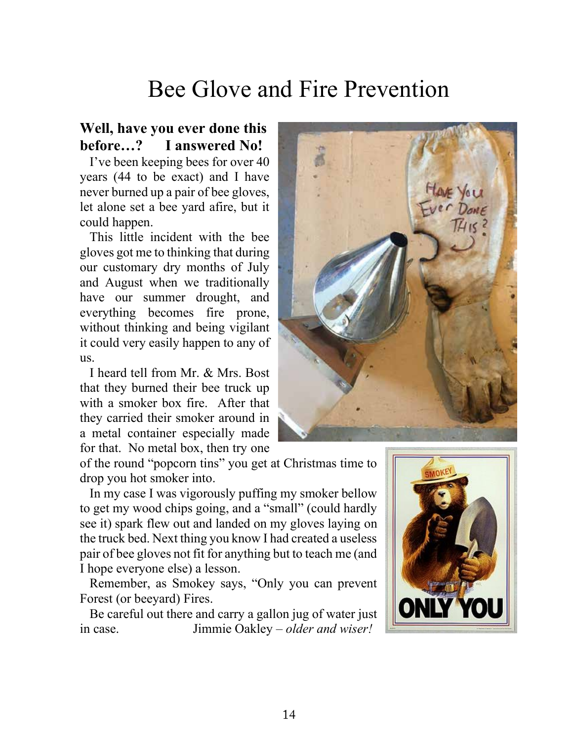## Bee Glove and Fire Prevention

### **Well, have you ever done this before…? I answered No!**

 I've been keeping bees for over 40 years (44 to be exact) and I have never burned up a pair of bee gloves, let alone set a bee yard afire, but it could happen.

 This little incident with the bee gloves got me to thinking that during our customary dry months of July and August when we traditionally have our summer drought, and everything becomes fire prone, without thinking and being vigilant it could very easily happen to any of us.

 I heard tell from Mr. & Mrs. Bost that they burned their bee truck up with a smoker box fire. After that they carried their smoker around in a metal container especially made for that. No metal box, then try one



of the round "popcorn tins" you get at Christmas time to drop you hot smoker into.

 In my case I was vigorously puffing my smoker bellow to get my wood chips going, and a "small" (could hardly see it) spark flew out and landed on my gloves laying on the truck bed. Next thing you know I had created a useless pair of bee gloves not fit for anything but to teach me (and I hope everyone else) a lesson.

 Remember, as Smokey says, "Only you can prevent Forest (or beeyard) Fires.

 Be careful out there and carry a gallon jug of water just in case. Jimmie Oakley – *older and wiser!*